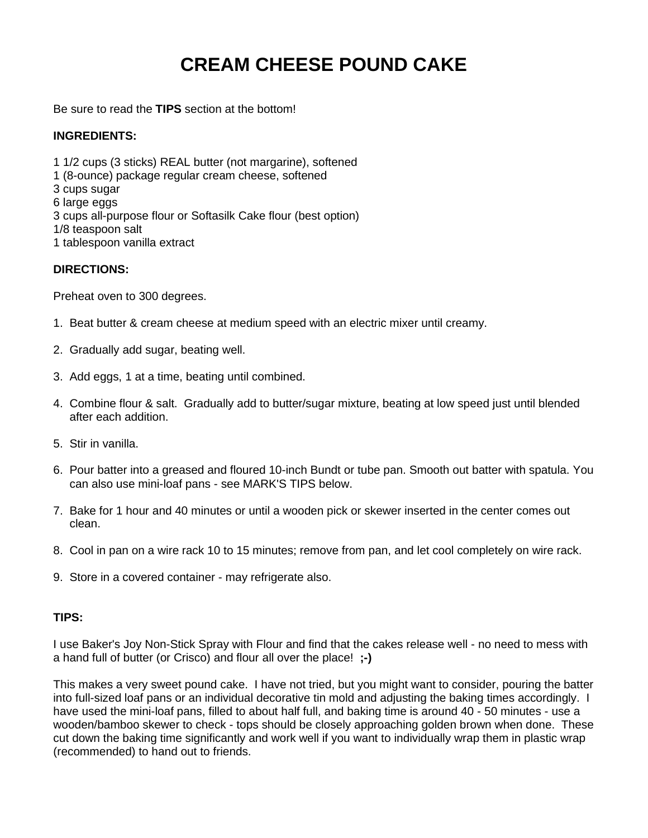## **CREAM CHEESE POUND CAKE**

Be sure to read the **TIPS** section at the bottom!

## **INGREDIENTS:**

1 1/2 cups (3 sticks) REAL butter (not margarine), softened 1 (8-ounce) package regular cream cheese, softened 3 cups sugar 6 large eggs 3 cups all-purpose flour or Softasilk Cake flour (best option) 1/8 teaspoon salt 1 tablespoon vanilla extract

## **DIRECTIONS:**

Preheat oven to 300 degrees.

- 1. Beat butter & cream cheese at medium speed with an electric mixer until creamy.
- 2. Gradually add sugar, beating well.
- 3. Add eggs, 1 at a time, beating until combined.
- 4. Combine flour & salt. Gradually add to butter/sugar mixture, beating at low speed just until blended after each addition.
- 5. Stir in vanilla.
- 6. Pour batter into a greased and floured 10-inch Bundt or tube pan. Smooth out batter with spatula. You can also use mini-loaf pans - see MARK'S TIPS below.
- 7. Bake for 1 hour and 40 minutes or until a wooden pick or skewer inserted in the center comes out clean.
- 8. Cool in pan on a wire rack 10 to 15 minutes; remove from pan, and let cool completely on wire rack.
- 9. Store in a covered container may refrigerate also.

## **TIPS:**

I use Baker's Joy Non-Stick Spray with Flour and find that the cakes release well - no need to mess with a hand full of butter (or Crisco) and flour all over the place! **;-)**

This makes a very sweet pound cake. I have not tried, but you might want to consider, pouring the batter into full-sized loaf pans or an individual decorative tin mold and adjusting the baking times accordingly. I have used the mini-loaf pans, filled to about half full, and baking time is around 40 - 50 minutes - use a wooden/bamboo skewer to check - tops should be closely approaching golden brown when done. These cut down the baking time significantly and work well if you want to individually wrap them in plastic wrap (recommended) to hand out to friends.